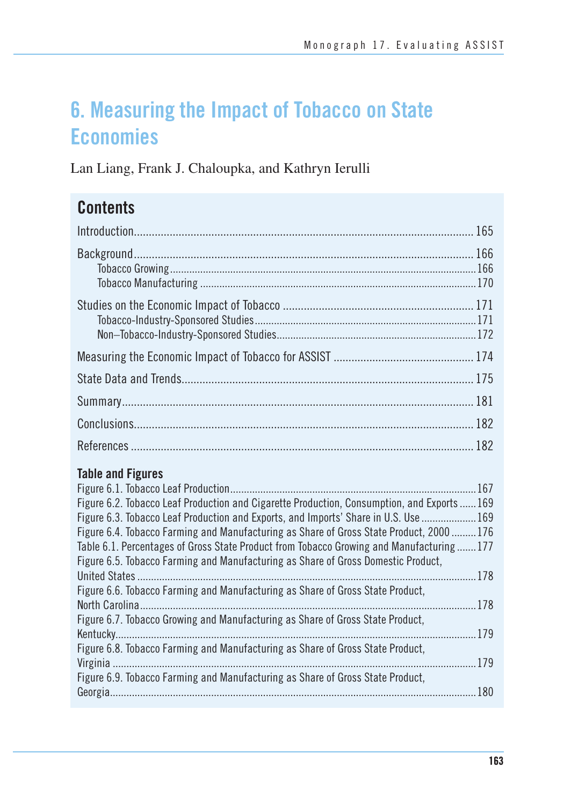# **6. Measuring the Impact of Tobacco on State Economies**

Lan Liang, Frank J. Chaloupka, and Kathryn Ierulli

## **Contents**

| <b>Table and Figures</b> |  |
|--------------------------|--|

| Figure 6.2. Tobacco Leaf Production and Cigarette Production, Consumption, and Exports169 |     |
|-------------------------------------------------------------------------------------------|-----|
| Figure 6.3. Tobacco Leaf Production and Exports, and Imports' Share in U.S. Use  169      |     |
| Figure 6.4. Tobacco Farming and Manufacturing as Share of Gross State Product, 2000 176   |     |
| Table 6.1. Percentages of Gross State Product from Tobacco Growing and Manufacturing 177  |     |
| Figure 6.5. Tobacco Farming and Manufacturing as Share of Gross Domestic Product,         |     |
|                                                                                           |     |
| Figure 6.6. Tobacco Farming and Manufacturing as Share of Gross State Product,            |     |
|                                                                                           |     |
| Figure 6.7. Tobacco Growing and Manufacturing as Share of Gross State Product,            |     |
|                                                                                           | 179 |
| Figure 6.8. Tobacco Farming and Manufacturing as Share of Gross State Product,            |     |
|                                                                                           | 179 |
| Figure 6.9. Tobacco Farming and Manufacturing as Share of Gross State Product,            |     |
|                                                                                           |     |
|                                                                                           |     |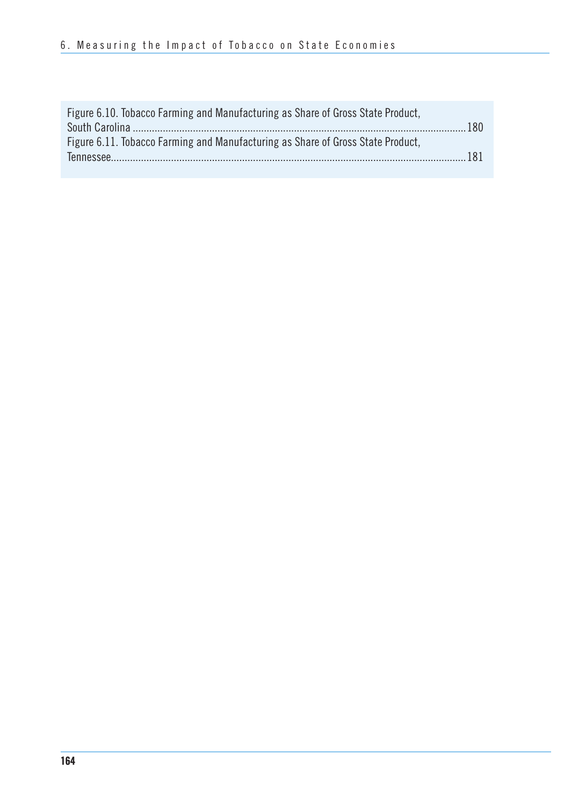| Figure 6.10. Tobacco Farming and Manufacturing as Share of Gross State Product, |  |
|---------------------------------------------------------------------------------|--|
|                                                                                 |  |
| Figure 6.11. Tobacco Farming and Manufacturing as Share of Gross State Product, |  |
|                                                                                 |  |
|                                                                                 |  |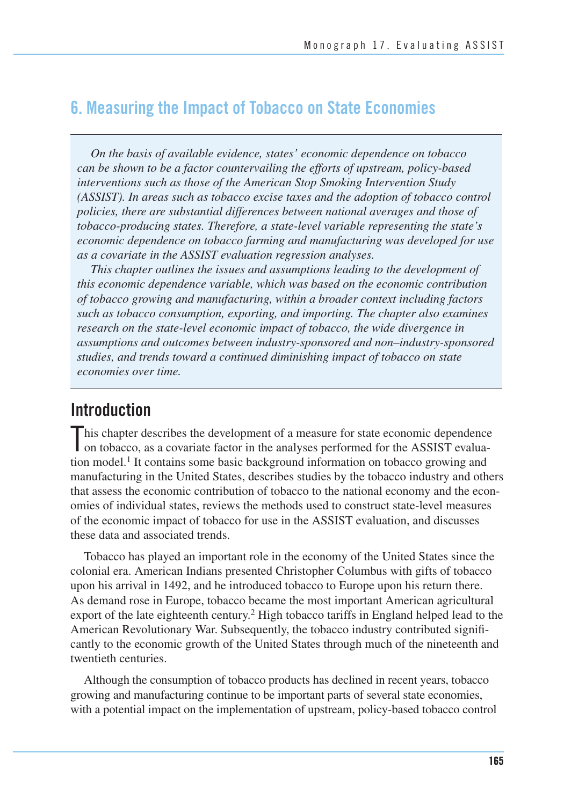### **6. Measuring the Impact of Tobacco on State Economies**

*On the basis of available evidence, states' economic dependence on tobacco can be shown to be a factor countervailing the efforts of upstream, policy-based interventions such as those of the American Stop Smoking Intervention Study (ASSIST). In areas such as tobacco excise taxes and the adoption of tobacco control policies, there are substantial differences between national averages and those of tobacco-producing states. Therefore, a state-level variable representing the state's economic dependence on tobacco farming and manufacturing was developed for use as a covariate in the ASSIST evaluation regression analyses.* 

*This chapter outlines the issues and assumptions leading to the development of this economic dependence variable, which was based on the economic contribution of tobacco growing and manufacturing, within a broader context including factors such as tobacco consumption, exporting, and importing. The chapter also examines research on the state-level economic impact of tobacco, the wide divergence in assumptions and outcomes between industry-sponsored and non–industry-sponsored studies, and trends toward a continued diminishing impact of tobacco on state economies over time.* 

### **Introduction**

This chapter describes the development of a measure for state economic dependence on tobacco, as a covariate factor in the analyses performed for the ASSIST evaluation on tobacco, as a covariate factor in the analyses performed for the ASSIST evaluation model.<sup>1</sup> It contains some basic background information on tobacco growing and manufacturing in the United States, describes studies by the tobacco industry and others that assess the economic contribution of tobacco to the national economy and the economies of individual states, reviews the methods used to construct state-level measures of the economic impact of tobacco for use in the ASSIST evaluation, and discusses these data and associated trends.

Tobacco has played an important role in the economy of the United States since the colonial era. American Indians presented Christopher Columbus with gifts of tobacco upon his arrival in 1492, and he introduced tobacco to Europe upon his return there. As demand rose in Europe, tobacco became the most important American agricultural export of the late eighteenth century.2 High tobacco tariffs in England helped lead to the American Revolutionary War. Subsequently, the tobacco industry contributed significantly to the economic growth of the United States through much of the nineteenth and twentieth centuries.

 Although the consumption of tobacco products has declined in recent years, tobacco growing and manufacturing continue to be important parts of several state economies, with a potential impact on the implementation of upstream, policy-based tobacco control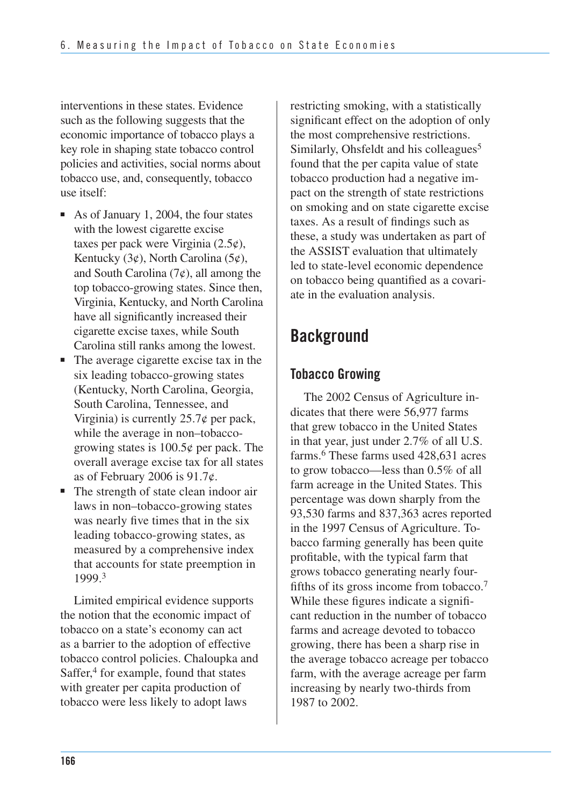interventions in these states. Evidence such as the following suggests that the economic importance of tobacco plays a key role in shaping state tobacco control policies and activities, social norms about tobacco use, and, consequently, tobacco use itself:

- As of January 1, 2004, the four states with the lowest cigarette excise taxes per pack were Virginia  $(2.5¢)$ , Kentucky  $(3¢)$ , North Carolina  $(5¢)$ , and South Carolina  $(7¢)$ , all among the top tobacco-growing states. Since then, Virginia, Kentucky, and North Carolina have all significantly increased their cigarette excise taxes, while South Carolina still ranks among the lowest.
- The average cigarette excise tax in the six leading tobacco-growing states (Kentucky, North Carolina, Georgia, South Carolina, Tennessee, and Virginia) is currently  $25.7\phi$  per pack, while the average in non–tobaccogrowing states is  $100.5\phi$  per pack. The overall average excise tax for all states as of February 2006 is  $91.7¢$ .
- The strength of state clean indoor air laws in non–tobacco-growing states was nearly five times that in the six leading tobacco-growing states, as measured by a comprehensive index that accounts for state preemption in 1999.3

Limited empirical evidence supports the notion that the economic impact of tobacco on a state's economy can act as a barrier to the adoption of effective tobacco control policies. Chaloupka and Saffer,<sup>4</sup> for example, found that states with greater per capita production of tobacco were less likely to adopt laws

restricting smoking, with a statistically significant effect on the adoption of only the most comprehensive restrictions. Similarly, Ohsfeldt and his colleagues<sup>5</sup> found that the per capita value of state tobacco production had a negative impact on the strength of state restrictions on smoking and on state cigarette excise taxes. As a result of findings such as these, a study was undertaken as part of the ASSIST evaluation that ultimately led to state-level economic dependence on tobacco being quantified as a covariate in the evaluation analysis.

## **Background**

### **Tobacco Growing**

The 2002 Census of Agriculture indicates that there were 56,977 farms that grew tobacco in the United States in that year, just under 2.7% of all U.S. farms.6 These farms used 428,631 acres to grow tobacco—less than 0.5% of all farm acreage in the United States. This percentage was down sharply from the 93,530 farms and 837,363 acres reported in the 1997 Census of Agriculture. Tobacco farming generally has been quite profitable, with the typical farm that grows tobacco generating nearly fourfifths of its gross income from tobacco.7 While these figures indicate a significant reduction in the number of tobacco farms and acreage devoted to tobacco growing, there has been a sharp rise in the average tobacco acreage per tobacco farm, with the average acreage per farm increasing by nearly two-thirds from 1987 to 2002.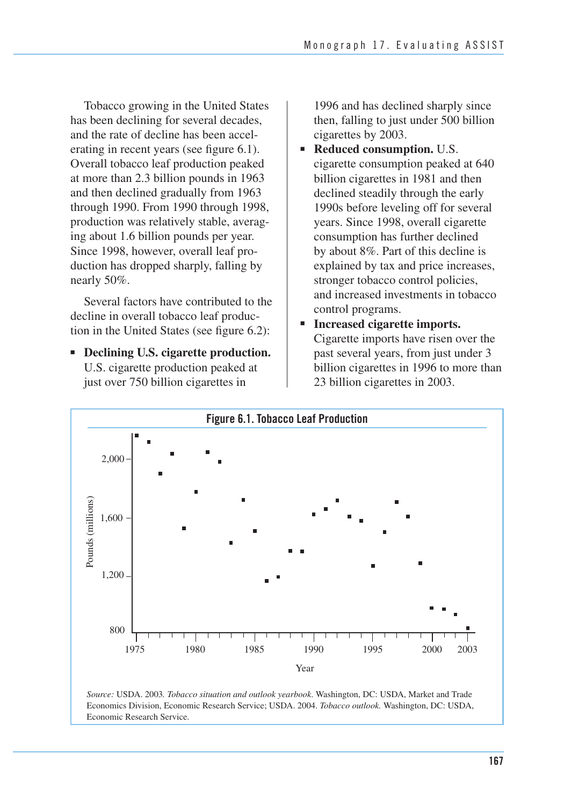Tobacco growing in the United States has been declining for several decades, and the rate of decline has been accelerating in recent years (see figure 6.1). Overall tobacco leaf production peaked at more than 2.3 billion pounds in 1963 and then declined gradually from 1963 through 1990. From 1990 through 1998, production was relatively stable, averaging about 1.6 billion pounds per year. Since 1998, however, overall leaf production has dropped sharply, falling by nearly 50%.

Several factors have contributed to the decline in overall tobacco leaf production in the United States (see figure 6.2):

■ **Declining U.S. cigarette production.** U.S. cigarette production peaked at just over 750 billion cigarettes in

1996 and has declined sharply since then, falling to just under 500 billion cigarettes by 2003.

- **Reduced consumption.** U.S. cigarette consumption peaked at 640 billion cigarettes in 1981 and then declined steadily through the early 1990s before leveling off for several years. Since 1998, overall cigarette consumption has further declined by about 8%. Part of this decline is explained by tax and price increases, stronger tobacco control policies, and increased investments in tobacco control programs.
- **Increased cigarette imports.** Cigarette imports have risen over the past several years, from just under 3 billion cigarettes in 1996 to more than 23 billion cigarettes in 2003.



*Source:* USDA. 2003*. Tobacco situation and outlook yearbook*. Washington, DC: USDA, Market and Trade Economics Division, Economic Research Service; USDA. 2004. *Tobacco outlook.* Washington, DC: USDA, Economic Research Service.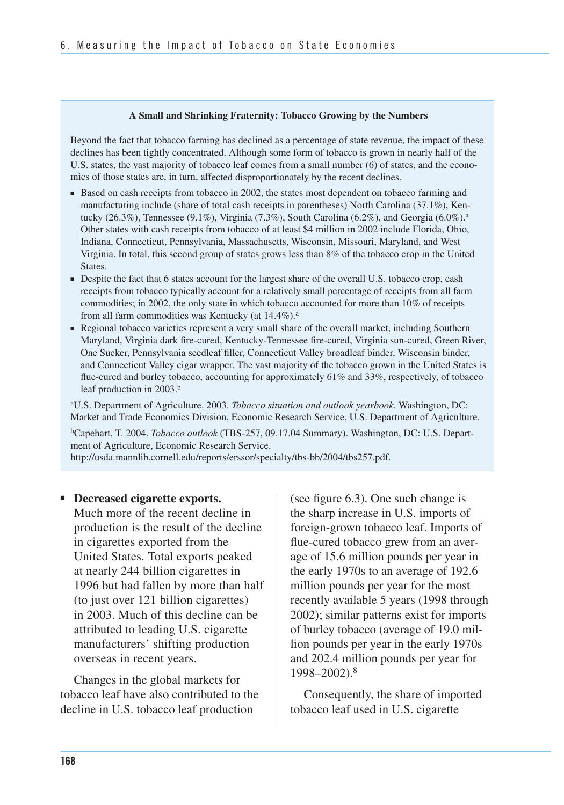#### **A Small and Shrinking Fraternity: Tobacco Growing by the Numbers**

Beyond the fact that tobacco farming has declined as a percentage of state revenue, the impact of these declines has been tightly concentrated. Although some form of tobacco is grown in nearly half of the U.S. states, the vast majority of tobacco leaf comes from a small number (6) of states, and the economies of those states are, in turn, affected disproportionately by the recent declines.

- Based on cash receipts from tobacco in 2002, the states most dependent on tobacco farming and manufacturing include (share of total cash receipts in parentheses) North Carolina (37.1%), Kentucky  $(26.3\%)$ , Tennessee  $(9.1\%)$ , Virginia  $(7.3\%)$ , South Carolina  $(6.2\%)$ , and Georgia  $(6.0\%)$ .<sup>a</sup> Other states with cash receipts from tobacco of at least \$4 million in 2002 include Florida, Ohio, Indiana, Connecticut, Pennsylvania, Massachusetts, Wisconsin, Missouri, Maryland, and West Virginia. In total, this second group of states grows less than 8% of the tobacco crop in the United States.
- Despite the fact that 6 states account for the largest share of the overall U.S. tobacco crop, cash receipts from tobacco typically account for a relatively small percentage of receipts from all farm commodities; in 2002, the only state in which tobacco accounted for more than 10% of receipts from all farm commodities was Kentucky (at  $14.4\%$ ).<sup>a</sup>
- Regional tobacco varieties represent a very small share of the overall market, including Southern Maryland, Virginia dark fire-cured, Kentucky-Tennessee fire-cured, Virginia sun-cured, Green River, One Sucker, Pennsylvania seedleaf filler, Connecticut Valley broadleaf binder, Wisconsin binder, and Connecticut Valley cigar wrapper. The vast majority of the tobacco grown in the United States is flue-cured and burley tobacco, accounting for approximately 61% and 33%, respectively, of tobacco leaf production in 2003.<sup>b</sup>

aU.S. Department of Agriculture. 2003. *Tobacco situation and outlook yearbook.* Washington, DC: Market and Trade Economics Division, Economic Research Service, U.S. Department of Agriculture. bCapehart, T. 2004. *Tobacco outlook* (TBS-257, 09.17.04 Summary). Washington, DC: U.S. Department of Agriculture, Economic Research Service.

http://usda.mannlib.cornell.edu/reports/erssor/specialty/tbs-bb/2004/tbs257.pdf.

#### ■ **Decreased cigarette exports.**

 Much more of the recent decline in production is the result of the decline in cigarettes exported from the United States. Total exports peaked at nearly 244 billion cigarettes in 1996 but had fallen by more than half (to just over 121 billion cigarettes) in 2003. Much of this decline can be attributed to leading U.S. cigarette manufacturers' shifting production overseas in recent years.

Changes in the global markets for tobacco leaf have also contributed to the decline in U.S. tobacco leaf production

(see figure 6.3). One such change is the sharp increase in U.S. imports of foreign-grown tobacco leaf. Imports of flue-cured tobacco grew from an average of 15.6 million pounds per year in the early 1970s to an average of 192.6 million pounds per year for the most recently available 5 years (1998 through 2002); similar patterns exist for imports of burley tobacco (average of 19.0 million pounds per year in the early 1970s and 202.4 million pounds per year for 1998–2002).8

Consequently, the share of imported tobacco leaf used in U.S. cigarette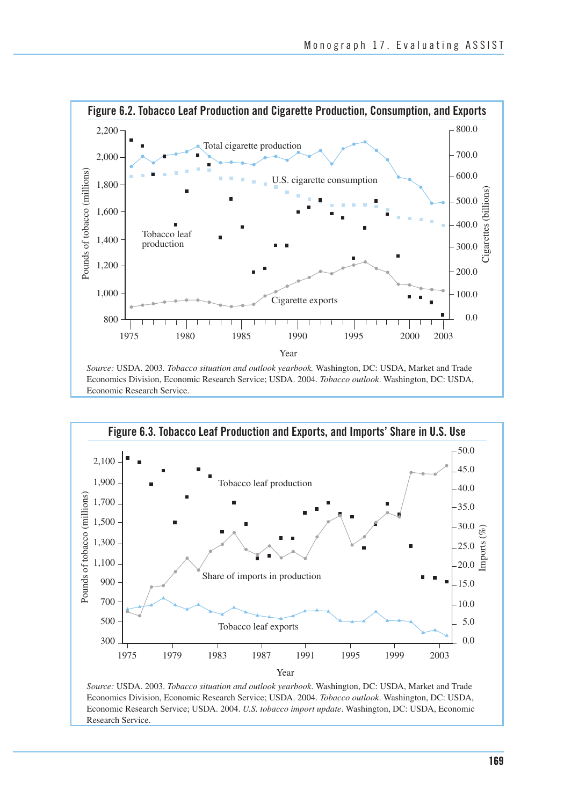

Economic Research Service.



*Source:* USDA. 2003. *Tobacco situation and outlook yearbook*. Washington, DC: USDA, Market and Trade Economics Division, Economic Research Service; USDA. 2004. *Tobacco outlook*. Washington, DC: USDA, Economic Research Service; USDA. 2004. *U.S. tobacco import update*. Washington, DC: USDA, Economic Research Service.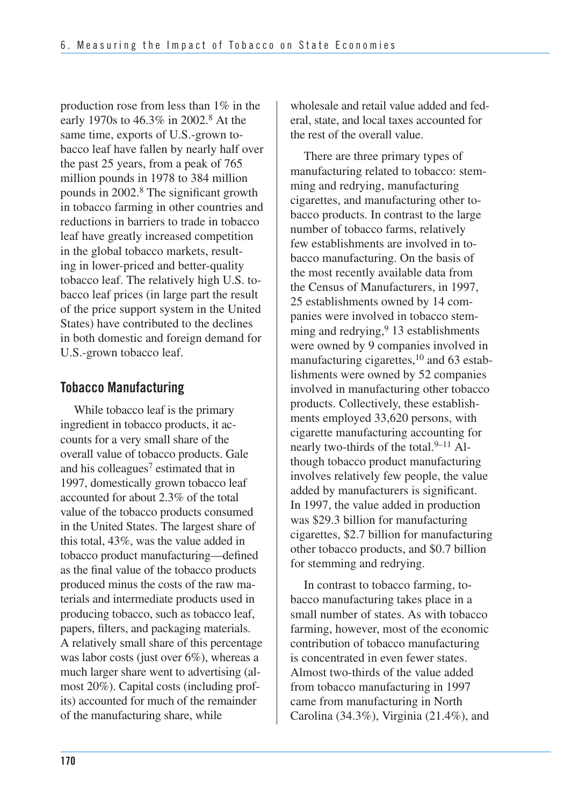production rose from less than 1% in the early 1970s to 46.3% in 2002.<sup>8</sup> At the same time, exports of U.S.-grown tobacco leaf have fallen by nearly half over the past 25 years, from a peak of 765 million pounds in 1978 to 384 million pounds in 2002.8 The significant growth in tobacco farming in other countries and reductions in barriers to trade in tobacco leaf have greatly increased competition in the global tobacco markets, resulting in lower-priced and better-quality tobacco leaf. The relatively high U.S. tobacco leaf prices (in large part the result of the price support system in the United States) have contributed to the declines in both domestic and foreign demand for U.S.-grown tobacco leaf.

### **Tobacco Manufacturing**

 While tobacco leaf is the primary ingredient in tobacco products, it ac- counts for a very small share of the overall value of tobacco products. Gale and his colleagues<sup>7</sup> estimated that in 1997, domestically grown tobacco leaf accounted for about 2.3% of the total value of the tobacco products consumed in the United States. The largest share of this total, 43%, was the value added in tobacco product manufacturing—defined as the final value of the tobacco products produced minus the costs of the raw ma- terials and intermediate products used in producing tobacco, such as tobacco leaf, papers, filters, and packaging materials. A relatively small share of this percentage was labor costs (just over 6%), whereas a much larger share went to advertising (al- most 20%). Capital costs (including prof- its) accounted for much of the remainder of the manufacturing share, while

 wholesale and retail value added and fed- eral, state, and local taxes accounted for the rest of the overall value.

There are three primary types of manufacturing related to tobacco: stemming and redrying, manufacturing cigarettes, and manufacturing other tobacco products. In contrast to the large number of tobacco farms, relatively few establishments are involved in tobacco manufacturing. On the basis of the most recently available data from the Census of Manufacturers, in 1997, 25 establishments owned by 14 companies were involved in tobacco stemming and redrying,<sup>9</sup> 13 establishments were owned by 9 companies involved in manufacturing cigarettes,<sup>10</sup> and 63 establishments were owned by 52 companies involved in manufacturing other tobacco products. Collectively, these establishments employed 33,620 persons, with cigarette manufacturing accounting for nearly two-thirds of the total.<sup>9–11</sup> Although tobacco product manufacturing involves relatively few people, the value added by manufacturers is significant. In 1997, the value added in production was \$29.3 billion for manufacturing cigarettes, \$2.7 billion for manufacturing other tobacco products, and \$0.7 billion for stemming and redrying.

In contrast to tobacco farming, tobacco manufacturing takes place in a small number of states. As with tobacco farming, however, most of the economic contribution of tobacco manufacturing is concentrated in even fewer states. Almost two-thirds of the value added from tobacco manufacturing in 1997 came from manufacturing in North Carolina (34.3%), Virginia (21.4%), and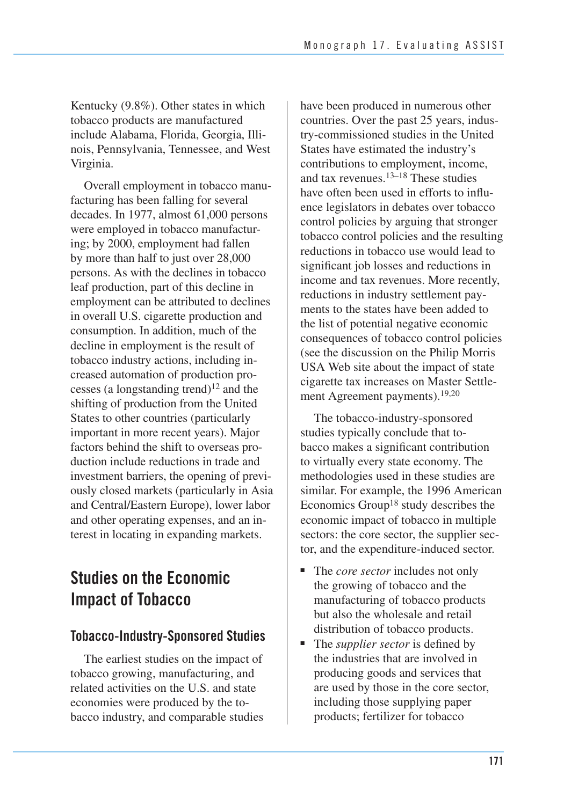Kentucky (9.8%). Other states in which tobacco products are manufactured include Alabama, Florida, Georgia, Illinois, Pennsylvania, Tennessee, and West Virginia.

 Overall employment in tobacco manu- facturing has been falling for several decades. In 1977, almost 61,000 persons were employed in tobacco manufactur- ing; by 2000, employment had fallen by more than half to just over 28,000 persons. As with the declines in tobacco leaf production, part of this decline in employment can be attributed to declines in overall U.S. cigarette production and consumption. In addition, much of the decline in employment is the result of tobacco industry actions, including in- creased automation of production pro- cesses (a longstanding trend)12 and the shifting of production from the United States to other countries (particularly important in more recent years). Major factors behind the shift to overseas pro- duction include reductions in trade and investment barriers, the opening of previ- ously closed markets (particularly in Asia and Central/Eastern Europe), lower labor and other operating expenses, and an in-terest in locating in expanding markets.

## **Studies on the Economic Impact of Tobacco**

### **Tobacco-Industry-Sponsored Studies**

The earliest studies on the impact of tobacco growing, manufacturing, and related activities on the U.S. and state economies were produced by the tobacco industry, and comparable studies

have been produced in numerous other countries. Over the past 25 years, industry-commissioned studies in the United States have estimated the industry's contributions to employment, income, and tax revenues.13–18 These studies have often been used in efforts to influence legislators in debates over tobacco control policies by arguing that stronger tobacco control policies and the resulting reductions in tobacco use would lead to significant job losses and reductions in income and tax revenues. More recently, reductions in industry settlement payments to the states have been added to the list of potential negative economic consequences of tobacco control policies (see the discussion on the Philip Morris USA Web site about the impact of state cigarette tax increases on Master Settlement Agreement payments).<sup>19,20</sup>

The tobacco-industry-sponsored studies typically conclude that tobacco makes a significant contribution to virtually every state economy. The methodologies used in these studies are similar. For example, the 1996 American Economics Group<sup>18</sup> study describes the economic impact of tobacco in multiple sectors: the core sector, the supplier sector, and the expenditure-induced sector.

- The *core sector* includes not only the growing of tobacco and the manufacturing of tobacco products but also the wholesale and retail distribution of tobacco products.
- The *supplier sector* is defined by the industries that are involved in producing goods and services that are used by those in the core sector, including those supplying paper products; fertilizer for tobacco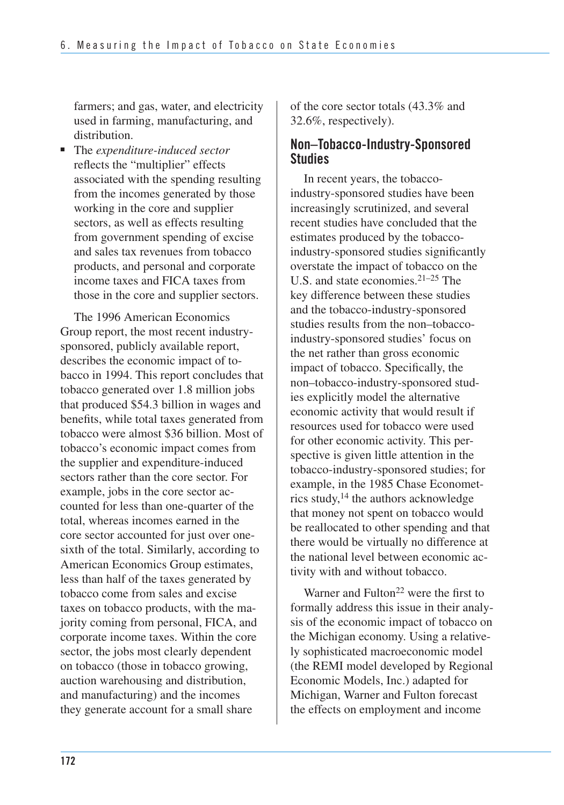farmers; and gas, water, and electricity used in farming, manufacturing, and distribution.

■ The *expenditure-induced sector* reflects the "multiplier" effects associated with the spending resulting from the incomes generated by those working in the core and supplier sectors, as well as effects resulting from government spending of excise and sales tax revenues from tobacco products, and personal and corporate income taxes and FICA taxes from those in the core and supplier sectors.

The 1996 American Economics Group report, the most recent industrysponsored, publicly available report, describes the economic impact of tobacco in 1994. This report concludes that tobacco generated over 1.8 million jobs that produced \$54.3 billion in wages and benefits, while total taxes generated from tobacco were almost \$36 billion. Most of tobacco's economic impact comes from the supplier and expenditure-induced sectors rather than the core sector. For example, jobs in the core sector accounted for less than one-quarter of the total, whereas incomes earned in the core sector accounted for just over onesixth of the total. Similarly, according to American Economics Group estimates, less than half of the taxes generated by tobacco come from sales and excise taxes on tobacco products, with the majority coming from personal, FICA, and corporate income taxes. Within the core sector, the jobs most clearly dependent on tobacco (those in tobacco growing, auction warehousing and distribution, and manufacturing) and the incomes they generate account for a small share

of the core sector totals (43.3% and 32.6%, respectively).

### **Non–Tobacco-Industry-Sponsored Studies**

In recent years, the tobaccoindustry-sponsored studies have been increasingly scrutinized, and several recent studies have concluded that the estimates produced by the tobaccoindustry-sponsored studies significantly overstate the impact of tobacco on the U.S. and state economies.21–25 The key difference between these studies and the tobacco-industry-sponsored studies results from the non–tobaccoindustry-sponsored studies' focus on the net rather than gross economic impact of tobacco. Specifically, the non–tobacco-industry-sponsored studies explicitly model the alternative economic activity that would result if resources used for tobacco were used for other economic activity. This perspective is given little attention in the tobacco-industry-sponsored studies; for example, in the 1985 Chase Econometrics study,14 the authors acknowledge that money not spent on tobacco would be reallocated to other spending and that there would be virtually no difference at the national level between economic activity with and without tobacco.

Warner and Fulton<sup>22</sup> were the first to formally address this issue in their analysis of the economic impact of tobacco on the Michigan economy. Using a relatively sophisticated macroeconomic model (the REMI model developed by Regional Economic Models, Inc.) adapted for Michigan, Warner and Fulton forecast the effects on employment and income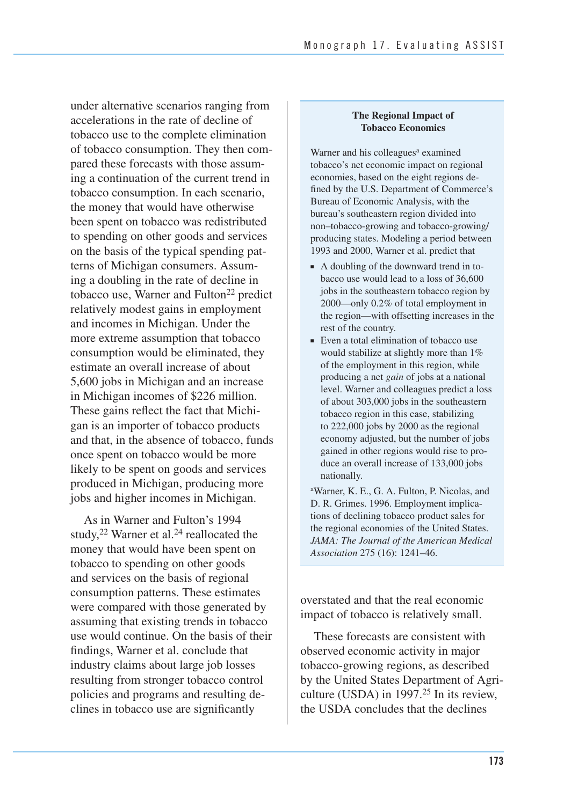under alternative scenarios ranging from accelerations in the rate of decline of tobacco use to the complete elimination of tobacco consumption. They then compared these forecasts with those assuming a continuation of the current trend in tobacco consumption. In each scenario, the money that would have otherwise been spent on tobacco was redistributed to spending on other goods and services on the basis of the typical spending patterns of Michigan consumers. Assuming a doubling in the rate of decline in tobacco use, Warner and Fulton<sup>22</sup> predict relatively modest gains in employment and incomes in Michigan. Under the more extreme assumption that tobacco consumption would be eliminated, they estimate an overall increase of about 5,600 jobs in Michigan and an increase in Michigan incomes of \$226 million. These gains reflect the fact that Michigan is an importer of tobacco products and that, in the absence of tobacco, funds once spent on tobacco would be more likely to be spent on goods and services produced in Michigan, producing more jobs and higher incomes in Michigan.

As in Warner and Fulton's 1994 study,<sup>22</sup> Warner et al.<sup>24</sup> reallocated the money that would have been spent on tobacco to spending on other goods and services on the basis of regional consumption patterns. These estimates were compared with those generated by assuming that existing trends in tobacco use would continue. On the basis of their findings, Warner et al. conclude that industry claims about large job losses resulting from stronger tobacco control policies and programs and resulting declines in tobacco use are significantly

#### **The Regional Impact of Tobacco Economics**

Warner and his colleagues<sup>a</sup> examined tobacco's net economic impact on regional economies, based on the eight regions defined by the U.S. Department of Commerce's Bureau of Economic Analysis, with the bureau's southeastern region divided into non–tobacco-growing and tobacco-growing/ producing states. Modeling a period between 1993 and 2000, Warner et al. predict that

- A doubling of the downward trend in tobacco use would lead to a loss of 36,600 jobs in the southeastern tobacco region by 2000—only 0.2% of total employment in the region—with offsetting increases in the rest of the country.
- Even a total elimination of tobacco use would stabilize at slightly more than 1% of the employment in this region, while producing a net *gain* of jobs at a national level. Warner and colleagues predict a loss of about 303,000 jobs in the southeastern tobacco region in this case, stabilizing to 222,000 jobs by 2000 as the regional economy adjusted, but the number of jobs gained in other regions would rise to produce an overall increase of 133,000 jobs nationally.

aWarner, K. E., G. A. Fulton, P. Nicolas, and D. R. Grimes. 1996. Employment implications of declining tobacco product sales for the regional economies of the United States. *JAMA: The Journal of the American Medical Association* 275 (16): 1241–46.

overstated and that the real economic impact of tobacco is relatively small.

These forecasts are consistent with observed economic activity in major tobacco-growing regions, as described by the United States Department of Agriculture (USDA) in  $1997<sup>25</sup>$  In its review, the USDA concludes that the declines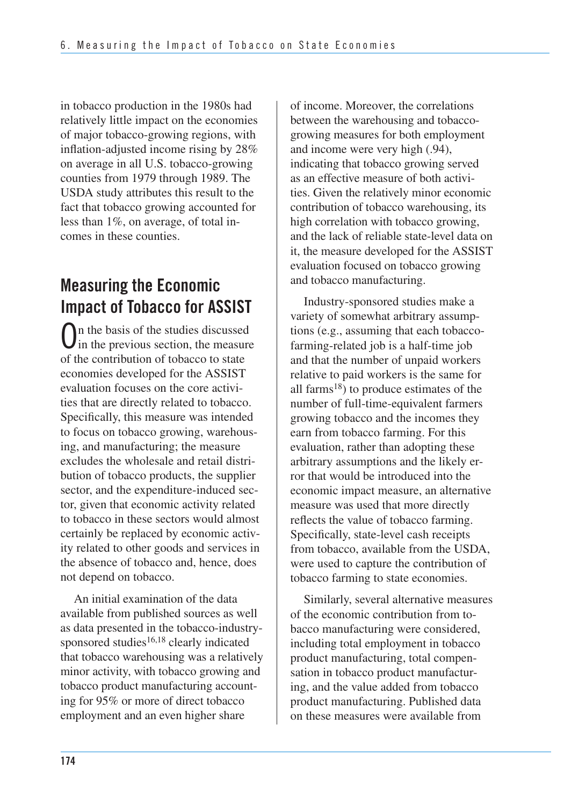in tobacco production in the 1980s had relatively little impact on the economies of major tobacco-growing regions, with inflation-adjusted income rising by 28% on average in all U.S. tobacco-growing counties from 1979 through 1989. The USDA study attributes this result to the fact that tobacco growing accounted for less than 1%, on average, of total incomes in these counties.

## **Measuring the Economic Impact of Tobacco for ASSIST**

On the basis of the studies discussed  $\bigcup$  in the previous section, the measure of the contribution of tobacco to state economies developed for the ASSIST evaluation focuses on the core activities that are directly related to tobacco. Specifically, this measure was intended to focus on tobacco growing, warehousing, and manufacturing; the measure excludes the wholesale and retail distribution of tobacco products, the supplier sector, and the expenditure-induced sector, given that economic activity related to tobacco in these sectors would almost certainly be replaced by economic activity related to other goods and services in the absence of tobacco and, hence, does not depend on tobacco.

 An initial examination of the data available from published sources as well as data presented in the tobacco-industrysponsored studies<sup>16,18</sup> clearly indicated that tobacco warehousing was a relatively minor activity, with tobacco growing and tobacco product manufacturing account- ing for 95% or more of direct tobacco employment and an even higher share

 of income. Moreover, the correlations between the warehousing and tobacco- growing measures for both employment and income were very high (.94), indicating that tobacco growing served as an effective measure of both activi- ties. Given the relatively minor economic contribution of tobacco warehousing, its high correlation with tobacco growing, and the lack of reliable state-level data on it, the measure developed for the ASSIST evaluation focused on tobacco growing and tobacco manufacturing.

Industry-sponsored studies make a variety of somewhat arbitrary assumptions (e.g., assuming that each tobaccofarming-related job is a half-time job and that the number of unpaid workers relative to paid workers is the same for all farms18) to produce estimates of the number of full-time-equivalent farmers growing tobacco and the incomes they earn from tobacco farming. For this evaluation, rather than adopting these arbitrary assumptions and the likely error that would be introduced into the economic impact measure, an alternative measure was used that more directly reflects the value of tobacco farming. Specifically, state-level cash receipts from tobacco, available from the USDA, were used to capture the contribution of tobacco farming to state economies.

Similarly, several alternative measures of the economic contribution from tobacco manufacturing were considered, including total employment in tobacco product manufacturing, total compensation in tobacco product manufacturing, and the value added from tobacco product manufacturing. Published data on these measures were available from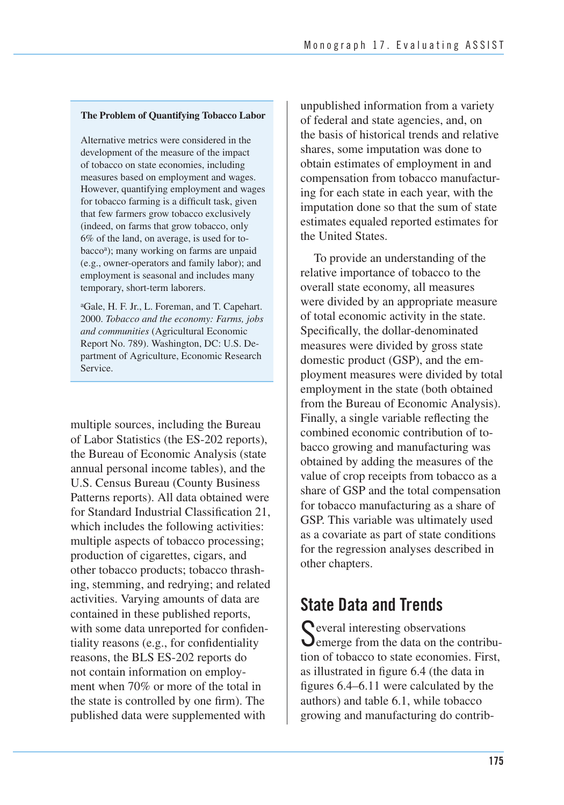#### **The Problem of Quantifying Tobacco Labor**

Alternative metrics were considered in the development of the measure of the impact of tobacco on state economies, including measures based on employment and wages. However, quantifying employment and wages for tobacco farming is a difficult task, given that few farmers grow tobacco exclusively (indeed, on farms that grow tobacco, only 6% of the land, on average, is used for tobaccoa); many working on farms are unpaid (e.g., owner-operators and family labor); and employment is seasonal and includes many temporary, short-term laborers.

aGale, H. F. Jr., L. Foreman, and T. Capehart. 2000. *Tobacco and the economy: Farms, jobs and communities* (Agricultural Economic Report No. 789). Washington, DC: U.S. Department of Agriculture, Economic Research Service.

multiple sources, including the Bureau of Labor Statistics (the ES-202 reports), the Bureau of Economic Analysis (state annual personal income tables), and the U.S. Census Bureau (County Business Patterns reports). All data obtained were for Standard Industrial Classification 21, which includes the following activities: multiple aspects of tobacco processing; production of cigarettes, cigars, and other tobacco products; tobacco thrashing, stemming, and redrying; and related activities. Varying amounts of data are contained in these published reports, with some data unreported for confidentiality reasons (e.g., for confidentiality reasons, the BLS ES-202 reports do not contain information on employment when 70% or more of the total in the state is controlled by one firm). The published data were supplemented with

unpublished information from a variety of federal and state agencies, and, on the basis of historical trends and relative shares, some imputation was done to obtain estimates of employment in and compensation from tobacco manufacturing for each state in each year, with the imputation done so that the sum of state estimates equaled reported estimates for the United States.

To provide an understanding of the relative importance of tobacco to the overall state economy, all measures were divided by an appropriate measure of total economic activity in the state. Specifically, the dollar-denominated measures were divided by gross state domestic product (GSP), and the employment measures were divided by total employment in the state (both obtained from the Bureau of Economic Analysis). Finally, a single variable reflecting the combined economic contribution of tobacco growing and manufacturing was obtained by adding the measures of the value of crop receipts from tobacco as a share of GSP and the total compensation for tobacco manufacturing as a share of GSP. This variable was ultimately used as a covariate as part of state conditions for the regression analyses described in other chapters.

## **State Data and Trends**

**C** everal interesting observations **O** emerge from the data on the contribution of tobacco to state economies. First, as illustrated in figure 6.4 (the data in figures 6.4–6.11 were calculated by the authors) and table 6.1, while tobacco growing and manufacturing do contrib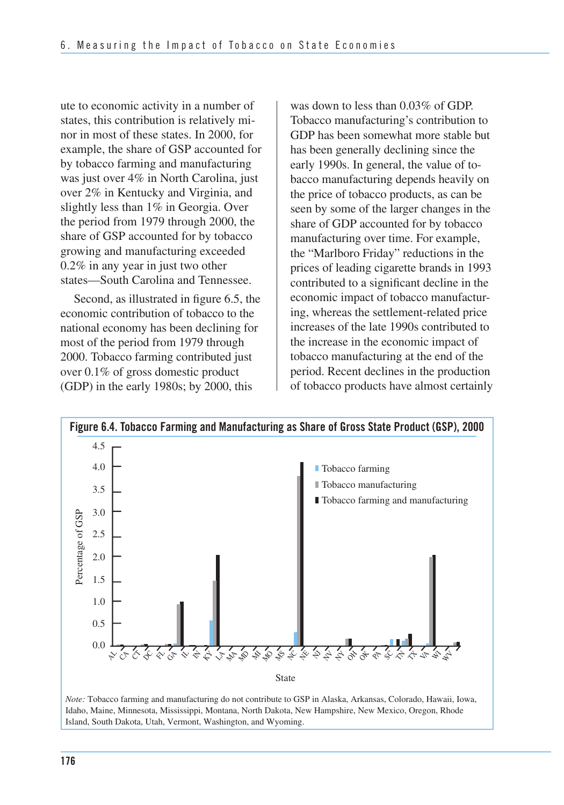ute to economic activity in a number of states, this contribution is relatively minor in most of these states. In 2000, for example, the share of GSP accounted for by tobacco farming and manufacturing was just over 4% in North Carolina, just over 2% in Kentucky and Virginia, and slightly less than 1% in Georgia. Over the period from 1979 through 2000, the share of GSP accounted for by tobacco growing and manufacturing exceeded 0.2% in any year in just two other states—South Carolina and Tennessee.

 Second, as illustrated in figure 6.5, the economic contribution of tobacco to the national economy has been declining for most of the period from 1979 through 2000. Tobacco farming contributed just over 0.1% of gross domestic product (GDP) in the early 1980s; by 2000, this

 was down to less than 0.03% of GDP. Tobacco manufacturing's contribution to GDP has been somewhat more stable but has been generally declining since the early 1990s. In general, the value of to- bacco manufacturing depends heavily on the price of tobacco products, as can be seen by some of the larger changes in the share of GDP accounted for by tobacco manufacturing over time. For example, the "Marlboro Friday" reductions in the prices of leading cigarette brands in 1993 contributed to a significant decline in the economic impact of tobacco manufactur- ing, whereas the settlement-related price increases of the late 1990s contributed to the increase in the economic impact of tobacco manufacturing at the end of the period. Recent declines in the production of tobacco products have almost certainly



Island, South Dakota, Utah, Vermont, Washington, and Wyoming.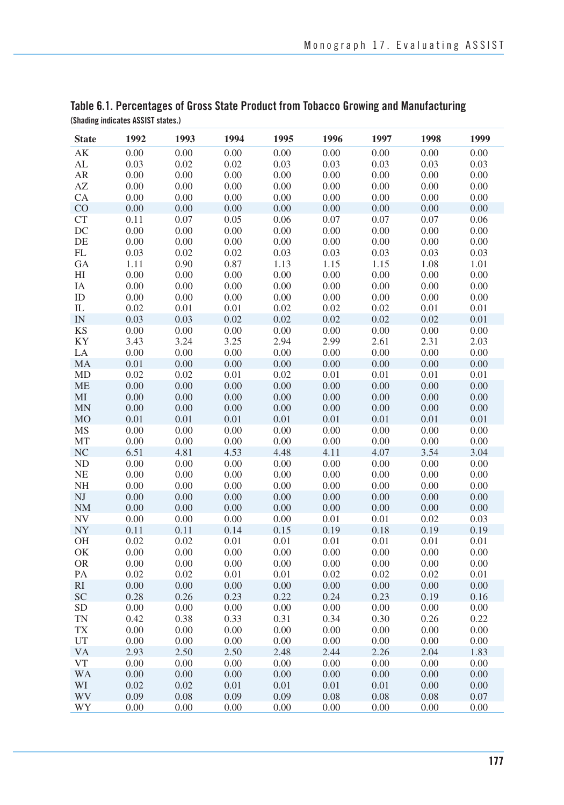| <b>State</b>           | 1992         | 1993         | 1994         | 1995         | 1996         | 1997         | 1998         | 1999         |
|------------------------|--------------|--------------|--------------|--------------|--------------|--------------|--------------|--------------|
| $\mathbf{A}\mathbf{K}$ | 0.00         | 0.00         | 0.00         | 0.00         | 0.00         | 0.00         | 0.00         | 0.00         |
| AL                     | 0.03         | 0.02         | 0.02         | 0.03         | 0.03         | 0.03         | 0.03         | 0.03         |
| AR                     | 0.00         | 0.00         | 0.00         | 0.00         | 0.00         | 0.00         | 0.00         | 0.00         |
| $\mathbf{A}\mathbf{Z}$ | 0.00         | 0.00         | 0.00         | 0.00         | 0.00         | 0.00         | 0.00         | 0.00         |
| CA                     | 0.00         | 0.00         | 0.00         | 0.00         | 0.00         | 0.00         | 0.00         | 0.00         |
| CO                     | 0.00         | 0.00         | 0.00         | 0.00         | 0.00         | 0.00         | 0.00         | 0.00         |
| CT                     | 0.11         | 0.07         | 0.05         | 0.06         | 0.07         | 0.07         | 0.07         | 0.06         |
| DC                     | 0.00         | 0.00         | 0.00         | 0.00         | 0.00         | 0.00         | 0.00         | 0.00         |
| DE                     | 0.00         | 0.00         | 0.00         | 0.00         | 0.00         | 0.00         | 0.00         | 0.00         |
| FL                     | 0.03         | 0.02         | 0.02         | 0.03         | 0.03         | 0.03         | 0.03         | 0.03         |
| GA                     | 1.11         | 0.90         | 0.87         | 1.13         | 1.15         | 1.15         | 1.08         | 1.01         |
| H <sub>I</sub>         | 0.00         | 0.00         | 0.00         | 0.00         | 0.00         | 0.00         | 0.00         | 0.00         |
| IA                     | 0.00         | 0.00         | 0.00         | 0.00         | 0.00         | 0.00         | 0.00         | 0.00         |
| ID                     | 0.00         | 0.00         | 0.00         | 0.00         | 0.00         | 0.00         | 0.00         | 0.00         |
| ${\rm IL}$             | 0.02         | 0.01         | 0.01         | 0.02         | 0.02         | 0.02         | 0.01         | 0.01         |
| IN                     | 0.03         | 0.03         | 0.02         | 0.02         | 0.02         | 0.02         | 0.02         | 0.01         |
| <b>KS</b>              | 0.00         | 0.00         | 0.00         | 0.00         | 0.00         | 0.00         | 0.00         | 0.00         |
| KY                     | 3.43         | 3.24         | 3.25         | 2.94         | 2.99         | 2.61         | 2.31         | 2.03         |
| LA                     | 0.00         | 0.00         | 0.00         | 0.00         | 0.00         | 0.00         | 0.00         | 0.00         |
| MA                     | 0.01         | 0.00         | 0.00         | 0.00         | 0.00         | 0.00         | 0.00         | 0.00         |
| MD                     | 0.02         | 0.02         | $0.01\,$     | 0.02         | 0.01         | 0.01         | 0.01         | 0.01         |
| <b>ME</b>              | 0.00         | 0.00<br>0.00 | 0.00         | 0.00<br>0.00 | 0.00         | 0.00<br>0.00 | 0.00<br>0.00 | 0.00<br>0.00 |
| MI                     | 0.00         | 0.00         | 0.00<br>0.00 |              | 0.00<br>0.00 | 0.00         | 0.00         |              |
| <b>MN</b><br><b>MO</b> | 0.00<br>0.01 | 0.01         | 0.01         | 0.00<br>0.01 | 0.01         | 0.01         | 0.01         | 0.00<br>0.01 |
| MS                     | 0.00         | 0.00         | 0.00         | 0.00         | 0.00         | 0.00         | $0.00\,$     | 0.00         |
| MT                     | 0.00         | 0.00         | 0.00         | 0.00         | 0.00         | 0.00         | 0.00         | 0.00         |
| <b>NC</b>              | 6.51         | 4.81         | 4.53         | 4.48         | 4.11         | 4.07         | 3.54         | 3.04         |
| <b>ND</b>              | 0.00         | 0.00         | 0.00         | 0.00         | 0.00         | 0.00         | 0.00         | 0.00         |
| <b>NE</b>              | 0.00         | 0.00         | 0.00         | 0.00         | 0.00         | 0.00         | 0.00         | 0.00         |
| $\rm NH$               | 0.00         | 0.00         | 0.00         | 0.00         | 0.00         | 0.00         | 0.00         | 0.00         |
| NJ                     | 0.00         | 0.00         | 0.00         | 0.00         | 0.00         | 0.00         | 0.00         | 0.00         |
| $\rm{NM}$              | 0.00         | 0.00         | 0.00         | 0.00         | 0.00         | 0.00         | 0.00         | 0.00         |
| <b>NV</b>              | 0.00         | 0.00         | 0.00         | 0.00         | 0.01         | 0.01         | 0.02         | 0.03         |
| <b>NY</b>              | 0.11         | 0.11         | 0.14         | 0.15         | 0.19         | 0.18         | 0.19         | 0.19         |
| OH                     | 0.02         | 0.02         | 0.01         | 0.01         | 0.01         | 0.01         | 0.01         | 0.01         |
| OK                     | 0.00         | 0.00         | 0.00         | 0.00         | 0.00         | 0.00         | 0.00         | 0.00         |
| <b>OR</b>              | 0.00         | 0.00         | 0.00         | 0.00         | 0.00         | 0.00         | 0.00         | 0.00         |
| PA                     | 0.02         | 0.02         | 0.01         | 0.01         | 0.02         | 0.02         | 0.02         | 0.01         |
| R <sub>I</sub>         | 0.00         | 0.00         | 0.00         | 0.00         | 0.00         | 0.00         | 0.00         | 0.00         |
| SC                     | 0.28         | 0.26         | 0.23         | 0.22         | 0.24         | 0.23         | 0.19         | 0.16         |
| <b>SD</b>              | 0.00         | 0.00         | 0.00         | 0.00         | 0.00         | 0.00         | 0.00         | 0.00         |
| <b>TN</b>              | 0.42         | 0.38         | 0.33         | 0.31         | 0.34         | 0.30         | 0.26         | 0.22         |
| <b>TX</b>              | $0.00\,$     | $0.00\,$     | $0.00\,$     | $0.00\,$     | $0.00\,$     | 0.00         | $0.00\,$     | 0.00         |
| UT                     | 0.00         | 0.00         | 0.00         | 0.00         | 0.00         | 0.00         | 0.00         | 0.00         |
| <b>VA</b>              | 2.93         | 2.50         | 2.50         | 2.48         | 2.44         | 2.26         | 2.04         | 1.83         |
| <b>VT</b>              | 0.00         | 0.00         | 0.00         | 0.00         | 0.00         | 0.00         | 0.00         | 0.00         |
| <b>WA</b>              | 0.00         | 0.00         | 0.00         | 0.00         | 0.00         | 0.00         | 0.00         | 0.00         |
| WI                     | 0.02         | 0.02         | 0.01         | 0.01         | 0.01         | 0.01         | 0.00         | 0.00         |
| <b>WV</b>              | 0.09         | 0.08         | 0.09         | 0.09         | 0.08         | 0.08         | 0.08         | 0.07         |
| WY                     | 0.00         | 0.00         | 0.00         | 0.00         | 0.00         | 0.00         | 0.00         | 0.00         |

#### **Table 6.1. Percentages of Gross State Product from Tobacco Growing and Manufacturing (Shading indicates ASSIST states.)**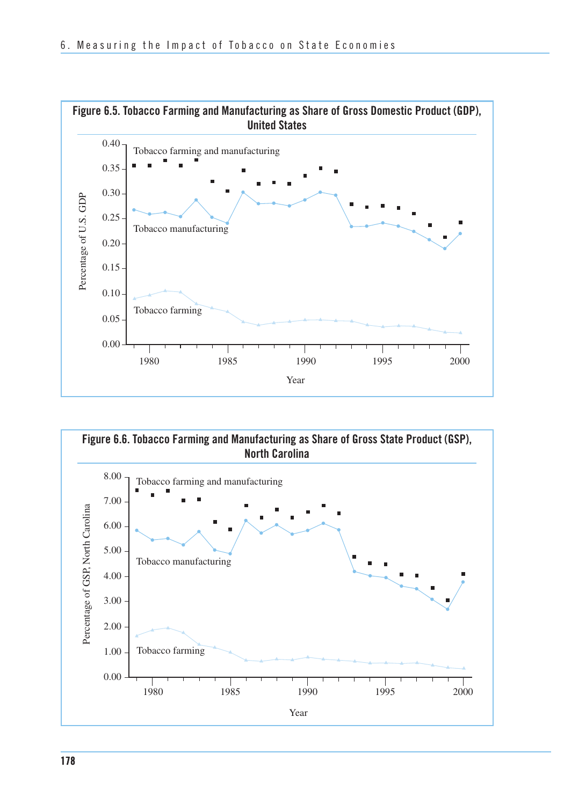

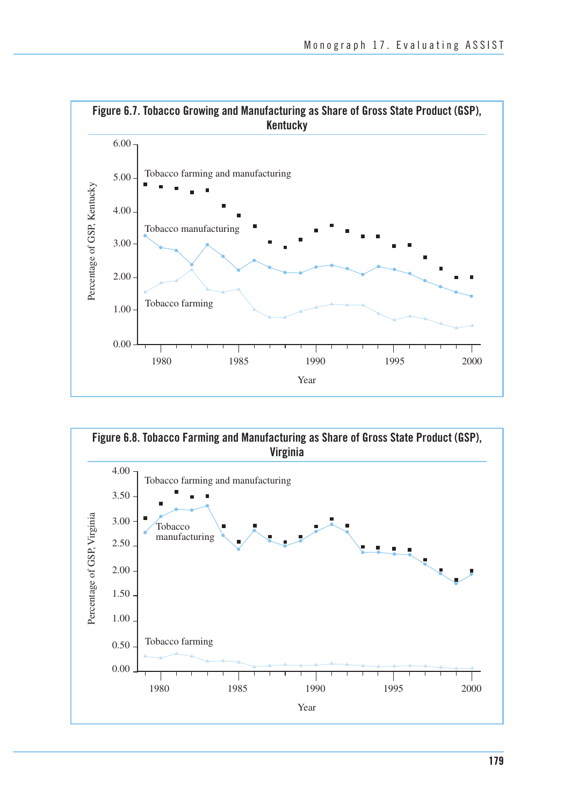

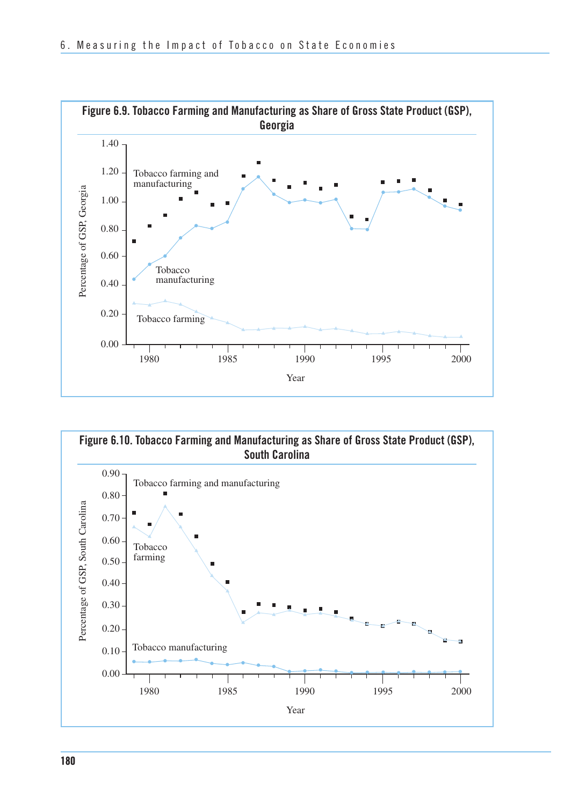

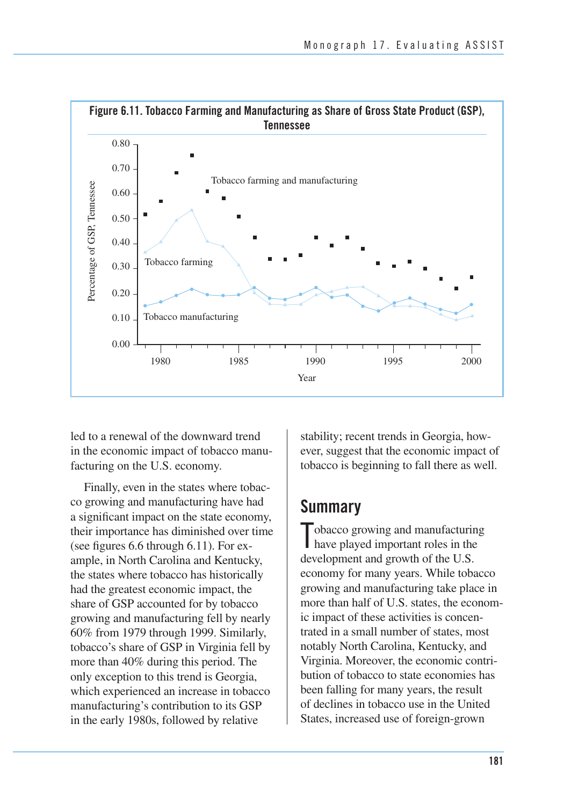

 led to a renewal of the downward trend in the economic impact of tobacco manu-facturing on the U.S. economy.

 Finally, even in the states where tobac- co growing and manufacturing have had a significant impact on the state economy, their importance has diminished over time (see figures 6.6 through 6.11). For ex- ample, in North Carolina and Kentucky, the states where tobacco has historically had the greatest economic impact, the share of GSP accounted for by tobacco growing and manufacturing fell by nearly 60% from 1979 through 1999. Similarly, tobacco's share of GSP in Virginia fell by more than 40% during this period. The only exception to this trend is Georgia, which experienced an increase in tobacco manufacturing's contribution to its GSP in the early 1980s, followed by relative

 stability; recent trends in Georgia, how- ever, suggest that the economic impact of tobacco is beginning to fall there as well.

### **Summary**

Tobacco growing and manufacturing<br>have played important roles in the have played important roles in the development and growth of the U.S. economy for many years. While tobacco growing and manufacturing take place in more than half of U.S. states, the econom- ic impact of these activities is concen- trated in a small number of states, most notably North Carolina, Kentucky, and Virginia. Moreover, the economic contri- bution of tobacco to state economies has been falling for many years, the result of declines in tobacco use in the United States, increased use of foreign-grown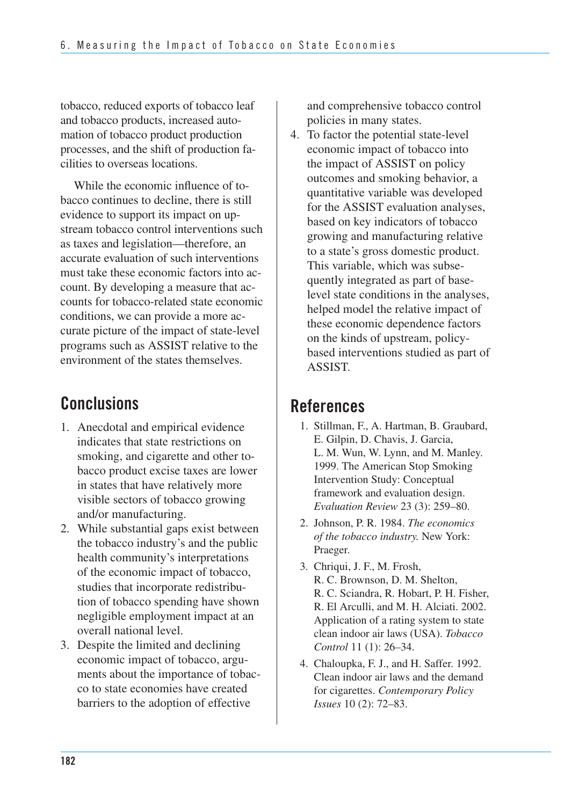tobacco, reduced exports of tobacco leaf and tobacco products, increased auto- mation of tobacco product production processes, and the shift of production fa-cilities to overseas locations.

 While the economic influence of to- bacco continues to decline, there is still evidence to support its impact on up- stream tobacco control interventions such as taxes and legislation—therefore, an accurate evaluation of such interventions must take these economic factors into ac- count. By developing a measure that ac- counts for tobacco-related state economic conditions, we can provide a more ac- curate picture of the impact of state-level programs such as ASSIST relative to the environment of the states themselves.

## **Conclusions**

- 1. Anecdotal and empirical evidence indicates that state restrictions on smoking, and cigarette and other tobacco product excise taxes are lower in states that have relatively more visible sectors of tobacco growing and/or manufacturing.
- 2. While substantial gaps exist between the tobacco industry's and the public health community's interpretations of the economic impact of tobacco, studies that incorporate redistribution of tobacco spending have shown negligible employment impact at an overall national level.
- 3. Despite the limited and declining economic impact of tobacco, arguments about the importance of tobacco to state economies have created barriers to the adoption of effective

and comprehensive tobacco control policies in many states.

4. To factor the potential state-level economic impact of tobacco into the impact of ASSIST on policy outcomes and smoking behavior, a quantitative variable was developed for the ASSIST evaluation analyses, based on key indicators of tobacco growing and manufacturing relative to a state's gross domestic product. This variable, which was subsequently integrated as part of baselevel state conditions in the analyses, helped model the relative impact of these economic dependence factors on the kinds of upstream, policybased interventions studied as part of ASSIST.

### **References**

- 1. Stillman, F., A. Hartman, B. Graubard, E. Gilpin, D. Chavis, J. Garcia, L. M. Wun, W. Lynn, and M. Manley. 1999. The American Stop Smoking Intervention Study: Conceptual framework and evaluation design. *Evaluation Review* 23 (3): 259–80.
- 2. Johnson, P. R. 1984. *The economics of the tobacco industry.* New York: Praeger.
- 3. Chriqui, J. F., M. Frosh, R. C. Brownson, D. M. Shelton, R. C. Sciandra, R. Hobart, P. H. Fisher, R. El Arculli, and M. H. Alciati. 2002. Application of a rating system to state clean indoor air laws (USA). *Tobacco Control* 11 (1): 26–34.
- 4. Chaloupka, F. J., and H. Saffer. 1992. Clean indoor air laws and the demand for cigarettes. *Contemporary Policy Issues* 10 (2): 72–83.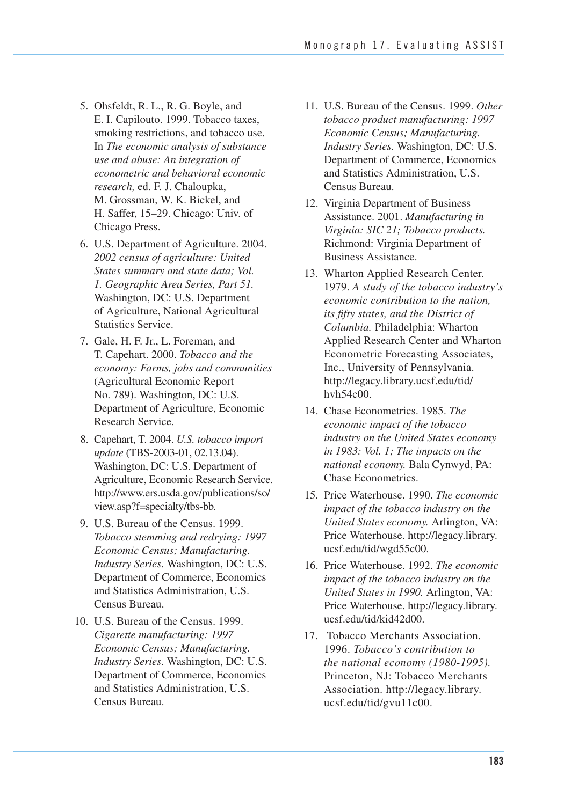- 5. Ohsfeldt, R. L., R. G. Boyle, and E. I. Capilouto. 1999. Tobacco taxes, smoking restrictions, and tobacco use. In *The economic analysis of substance use and abuse: An integration of econometric and behavioral economic research,* ed. F. J. Chaloupka, M. Grossman, W. K. Bickel, and H. Saffer, 15–29. Chicago: Univ. of Chicago Press.
- 6. U.S. Department of Agriculture. 2004. *2002 census of agriculture: United States summary and state data; Vol. 1. Geographic Area Series, Part 51.*  Washington, DC: U.S. Department of Agriculture, National Agricultural Statistics Service.
- 7. Gale, H. F. Jr., L. Foreman, and T. Capehart. 2000. *Tobacco and the economy: Farms, jobs and communities*  (Agricultural Economic Report No. 789). Washington, DC: U.S. Department of Agriculture, Economic Research Service.
- Washington, DC: U.S. Department of Agriculture, Economic Research Service. 8. Capehart, T. 2004. *U.S. tobacco import update* (TBS-2003-01, 02.13.04). http://www.ers.usda.gov/publications/so/ view.asp?f=specialty/tbs-bb.
- 9. U.S. Bureau of the Census. 1999. *Tobacco stemming and redrying: 1997 Economic Census; Manufacturing. Industry Series.* Washington, DC: U.S. Department of Commerce, Economics and Statistics Administration, U.S. Census Bureau.
- 10. U.S. Bureau of the Census. 1999. *Cigarette manufacturing: 1997 Economic Census; Manufacturing. Industry Series.* Washington, DC: U.S. Department of Commerce, Economics and Statistics Administration, U.S. Census Bureau.
- 11. U.S. Bureau of the Census. 1999. *Other tobacco product manufacturing: 1997 Economic Census; Manufacturing. Industry Series.* Washington, DC: U.S. Department of Commerce, Economics and Statistics Administration, U.S. Census Bureau.
- 12. Virginia Department of Business Assistance. 2001. *Manufacturing in Virginia: SIC 21; Tobacco products.*  Richmond: Virginia Department of Business Assistance.
- 1979. *A study of the tobacco industry's economic contribution to the nation, its fifty states, and the District of*  Applied Research Center and Wharton Econometric Forecasting Associates, Inc., University of Pennsylvania. 13. Wharton Applied Research Center. *Columbia.* Philadelphia: Wharton http://legacy.library.ucsf.edu/tid/ hvh54c00.
- 14. Chase Econometrics. 1985. *The economic impact of the tobacco industry on the United States economy in 1983: Vol. 1; The impacts on the national economy.* Bala Cynwyd, PA: Chase Econometrics.
- 15. Price Waterhouse. 1990. *The economic impact of the tobacco industry on the United States economy.* Arlington, VA: Price Waterhouse. http://legacy.library. ucsf.edu/tid/wgd55c00.
- 16. Price Waterhouse. 1992. *The economic impact of the tobacco industry on the United States in 1990.* Arlington, VA: Price Waterhouse. http://legacy.library. ucsf.edu/tid/kid42d00.
- *the national economy (1980-1995).*  Princeton, NJ: Tobacco Merchants 17. Tobacco Merchants Association. 1996. *Tobacco's contribution to*  Association. http://legacy.library. ucsf.edu/tid/gvu11c00.